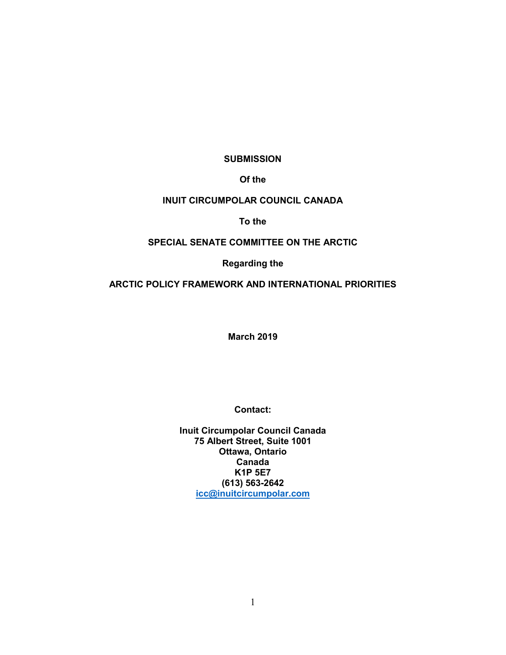**SUBMISSION**

**Of the**

# **INUIT CIRCUMPOLAR COUNCIL CANADA**

# **To the**

# **SPECIAL SENATE COMMITTEE ON THE ARCTIC**

# **Regarding the**

# **ARCTIC POLICY FRAMEWORK AND INTERNATIONAL PRIORITIES**

**March 2019**

**Contact:**

**Inuit Circumpolar Council Canada 75 Albert Street, Suite 1001 Ottawa, Ontario Canada K1P 5E7 (613) 563-2642 [icc@inuitcircumpolar.com](mailto:icc@inuitcircumpolar.com)**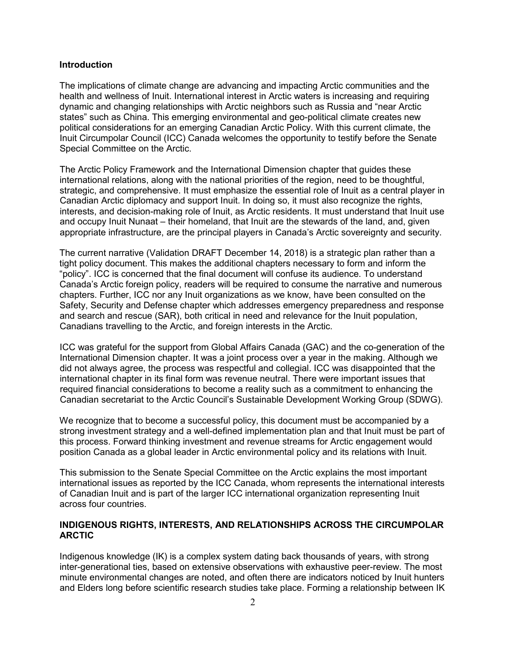### **Introduction**

The implications of climate change are advancing and impacting Arctic communities and the health and wellness of Inuit. International interest in Arctic waters is increasing and requiring dynamic and changing relationships with Arctic neighbors such as Russia and "near Arctic states" such as China. This emerging environmental and geo-political climate creates new political considerations for an emerging Canadian Arctic Policy. With this current climate, the Inuit Circumpolar Council (ICC) Canada welcomes the opportunity to testify before the Senate Special Committee on the Arctic.

The Arctic Policy Framework and the International Dimension chapter that guides these international relations, along with the national priorities of the region, need to be thoughtful, strategic, and comprehensive. It must emphasize the essential role of Inuit as a central player in Canadian Arctic diplomacy and support Inuit. In doing so, it must also recognize the rights, interests, and decision-making role of Inuit, as Arctic residents. It must understand that Inuit use and occupy Inuit Nunaat – their homeland, that Inuit are the stewards of the land, and, given appropriate infrastructure, are the principal players in Canada's Arctic sovereignty and security.

The current narrative (Validation DRAFT December 14, 2018) is a strategic plan rather than a tight policy document. This makes the additional chapters necessary to form and inform the "policy". ICC is concerned that the final document will confuse its audience. To understand Canada's Arctic foreign policy, readers will be required to consume the narrative and numerous chapters. Further, ICC nor any Inuit organizations as we know, have been consulted on the Safety, Security and Defense chapter which addresses emergency preparedness and response and search and rescue (SAR), both critical in need and relevance for the Inuit population, Canadians travelling to the Arctic, and foreign interests in the Arctic.

ICC was grateful for the support from Global Affairs Canada (GAC) and the co-generation of the International Dimension chapter. It was a joint process over a year in the making. Although we did not always agree, the process was respectful and collegial. ICC was disappointed that the international chapter in its final form was revenue neutral. There were important issues that required financial considerations to become a reality such as a commitment to enhancing the Canadian secretariat to the Arctic Council's Sustainable Development Working Group (SDWG).

We recognize that to become a successful policy, this document must be accompanied by a strong investment strategy and a well-defined implementation plan and that Inuit must be part of this process. Forward thinking investment and revenue streams for Arctic engagement would position Canada as a global leader in Arctic environmental policy and its relations with Inuit.

This submission to the Senate Special Committee on the Arctic explains the most important international issues as reported by the ICC Canada, whom represents the international interests of Canadian Inuit and is part of the larger ICC international organization representing Inuit across four countries.

# **INDIGENOUS RIGHTS, INTERESTS, AND RELATIONSHIPS ACROSS THE CIRCUMPOLAR ARCTIC**

Indigenous knowledge (IK) is a complex system dating back thousands of years, with strong inter-generational ties, based on extensive observations with exhaustive peer-review. The most minute environmental changes are noted, and often there are indicators noticed by Inuit hunters and Elders long before scientific research studies take place. Forming a relationship between IK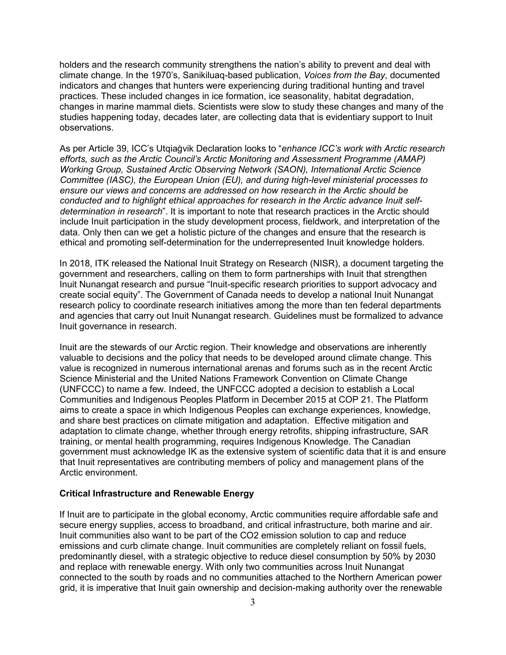holders and the research community strengthens the nation's ability to prevent and deal with climate change. In the 1970's, Sanikiluaq-based publication, *Voices from the Bay*, documented indicators and changes that hunters were experiencing during traditional hunting and travel practices. These included changes in ice formation, ice seasonality, habitat degradation, changes in marine mammal diets. Scientists were slow to study these changes and many of the studies happening today, decades later, are collecting data that is evidentiary support to Inuit observations.

As per Article 39, ICC's Utqiaġvik Declaration looks to "*enhance ICC's work with Arctic research efforts, such as the Arctic Council's Arctic Monitoring and Assessment Programme (AMAP) Working Group, Sustained Arctic Observing Network (SAON), International Arctic Science Committee (IASC), the European Union (EU), and during high-level ministerial processes to ensure our views and concerns are addressed on how research in the Arctic should be conducted and to highlight ethical approaches for research in the Arctic advance Inuit selfdetermination in research*". It is important to note that research practices in the Arctic should include Inuit participation in the study development process, fieldwork, and interpretation of the data. Only then can we get a holistic picture of the changes and ensure that the research is ethical and promoting self-determination for the underrepresented Inuit knowledge holders.

In 2018, ITK released the National Inuit Strategy on Research (NISR), a document targeting the government and researchers, calling on them to form partnerships with Inuit that strengthen Inuit Nunangat research and pursue "Inuit-specific research priorities to support advocacy and create social equity". The Government of Canada needs to develop a national Inuit Nunangat research policy to coordinate research initiatives among the more than ten federal departments and agencies that carry out Inuit Nunangat research. Guidelines must be formalized to advance Inuit governance in research.

Inuit are the stewards of our Arctic region. Their knowledge and observations are inherently valuable to decisions and the policy that needs to be developed around climate change. This value is recognized in numerous international arenas and forums such as in the recent Arctic Science Ministerial and the United Nations Framework Convention on Climate Change (UNFCCC) to name a few. Indeed, the UNFCCC adopted a decision to establish a Local Communities and Indigenous Peoples Platform in December 2015 at COP 21. The Platform aims to create a space in which Indigenous Peoples can exchange experiences, knowledge, and share best practices on climate mitigation and adaptation. Effective mitigation and adaptation to climate change, whether through energy retrofits, shipping infrastructure, SAR training, or mental health programming, requires Indigenous Knowledge. The Canadian government must acknowledge IK as the extensive system of scientific data that it is and ensure that Inuit representatives are contributing members of policy and management plans of the Arctic environment.

#### **Critical Infrastructure and Renewable Energy**

If Inuit are to participate in the global economy, Arctic communities require affordable safe and secure energy supplies, access to broadband, and critical infrastructure, both marine and air. Inuit communities also want to be part of the CO2 emission solution to cap and reduce emissions and curb climate change. Inuit communities are completely reliant on fossil fuels, predominantly diesel, with a strategic objective to reduce diesel consumption by 50% by 2030 and replace with renewable energy. With only two communities across Inuit Nunangat connected to the south by roads and no communities attached to the Northern American power grid, it is imperative that Inuit gain ownership and decision-making authority over the renewable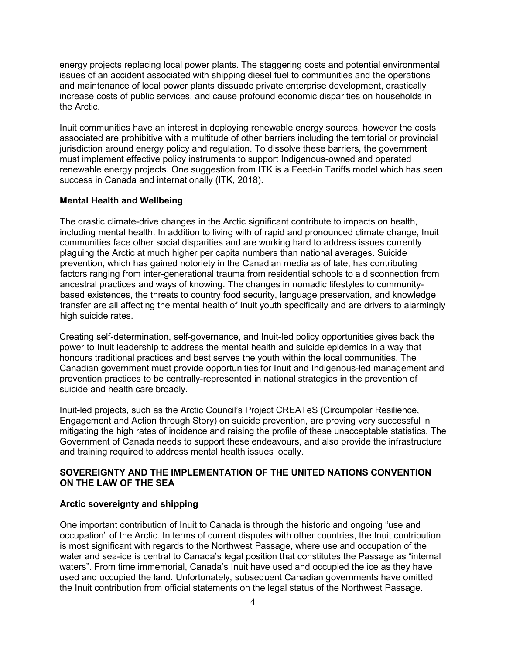energy projects replacing local power plants. The staggering costs and potential environmental issues of an accident associated with shipping diesel fuel to communities and the operations and maintenance of local power plants dissuade private enterprise development, drastically increase costs of public services, and cause profound economic disparities on households in the Arctic.

Inuit communities have an interest in deploying renewable energy sources, however the costs associated are prohibitive with a multitude of other barriers including the territorial or provincial jurisdiction around energy policy and regulation. To dissolve these barriers, the government must implement effective policy instruments to support Indigenous-owned and operated renewable energy projects. One suggestion from ITK is a Feed-in Tariffs model which has seen success in Canada and internationally (ITK, 2018).

### **Mental Health and Wellbeing**

The drastic climate-drive changes in the Arctic significant contribute to impacts on health, including mental health. In addition to living with of rapid and pronounced climate change, Inuit communities face other social disparities and are working hard to address issues currently plaguing the Arctic at much higher per capita numbers than national averages. Suicide prevention, which has gained notoriety in the Canadian media as of late, has contributing factors ranging from inter-generational trauma from residential schools to a disconnection from ancestral practices and ways of knowing. The changes in nomadic lifestyles to communitybased existences, the threats to country food security, language preservation, and knowledge transfer are all affecting the mental health of Inuit youth specifically and are drivers to alarmingly high suicide rates.

Creating self-determination, self-governance, and Inuit-led policy opportunities gives back the power to Inuit leadership to address the mental health and suicide epidemics in a way that honours traditional practices and best serves the youth within the local communities. The Canadian government must provide opportunities for Inuit and Indigenous-led management and prevention practices to be centrally-represented in national strategies in the prevention of suicide and health care broadly.

Inuit-led projects, such as the Arctic Council's Project CREATeS (Circumpolar Resilience, Engagement and Action through Story) on suicide prevention, are proving very successful in mitigating the high rates of incidence and raising the profile of these unacceptable statistics. The Government of Canada needs to support these endeavours, and also provide the infrastructure and training required to address mental health issues locally.

### **SOVEREIGNTY AND THE IMPLEMENTATION OF THE UNITED NATIONS CONVENTION ON THE LAW OF THE SEA**

#### **Arctic sovereignty and shipping**

One important contribution of Inuit to Canada is through the historic and ongoing "use and occupation" of the Arctic. In terms of current disputes with other countries, the Inuit contribution is most significant with regards to the Northwest Passage, where use and occupation of the water and sea-ice is central to Canada's legal position that constitutes the Passage as "internal waters". From time immemorial, Canada's Inuit have used and occupied the ice as they have used and occupied the land. Unfortunately, subsequent Canadian governments have omitted the Inuit contribution from official statements on the legal status of the Northwest Passage.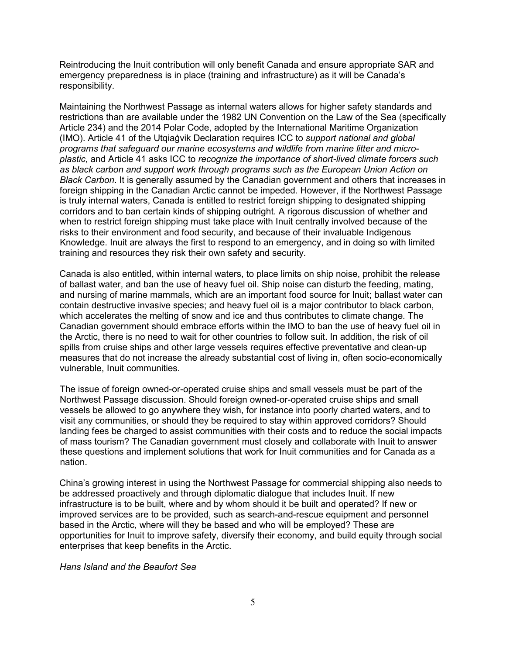Reintroducing the Inuit contribution will only benefit Canada and ensure appropriate SAR and emergency preparedness is in place (training and infrastructure) as it will be Canada's responsibility.

Maintaining the Northwest Passage as internal waters allows for higher safety standards and restrictions than are available under the 1982 UN Convention on the Law of the Sea (specifically Article 234) and the 2014 Polar Code, adopted by the International Maritime Organization (IMO). Article 41 of the Utqiaġvik Declaration requires ICC to *support national and global programs that safeguard our marine ecosystems and wildlife from marine litter and microplastic*, and Article 41 asks ICC to *recognize the importance of short-lived climate forcers such as black carbon and support work through programs such as the European Union Action on Black Carbon*. It is generally assumed by the Canadian government and others that increases in foreign shipping in the Canadian Arctic cannot be impeded. However, if the Northwest Passage is truly internal waters, Canada is entitled to restrict foreign shipping to designated shipping corridors and to ban certain kinds of shipping outright. A rigorous discussion of whether and when to restrict foreign shipping must take place with Inuit centrally involved because of the risks to their environment and food security, and because of their invaluable Indigenous Knowledge. Inuit are always the first to respond to an emergency, and in doing so with limited training and resources they risk their own safety and security.

Canada is also entitled, within internal waters, to place limits on ship noise, prohibit the release of ballast water, and ban the use of heavy fuel oil. Ship noise can disturb the feeding, mating, and nursing of marine mammals, which are an important food source for Inuit; ballast water can contain destructive invasive species; and heavy fuel oil is a major contributor to black carbon, which accelerates the melting of snow and ice and thus contributes to climate change. The Canadian government should embrace efforts within the IMO to ban the use of heavy fuel oil in the Arctic, there is no need to wait for other countries to follow suit. In addition, the risk of oil spills from cruise ships and other large vessels requires effective preventative and clean-up measures that do not increase the already substantial cost of living in, often socio-economically vulnerable, Inuit communities.

The issue of foreign owned-or-operated cruise ships and small vessels must be part of the Northwest Passage discussion. Should foreign owned-or-operated cruise ships and small vessels be allowed to go anywhere they wish, for instance into poorly charted waters, and to visit any communities, or should they be required to stay within approved corridors? Should landing fees be charged to assist communities with their costs and to reduce the social impacts of mass tourism? The Canadian government must closely and collaborate with Inuit to answer these questions and implement solutions that work for Inuit communities and for Canada as a nation.

China's growing interest in using the Northwest Passage for commercial shipping also needs to be addressed proactively and through diplomatic dialogue that includes Inuit. If new infrastructure is to be built, where and by whom should it be built and operated? If new or improved services are to be provided, such as search-and-rescue equipment and personnel based in the Arctic, where will they be based and who will be employed? These are opportunities for Inuit to improve safety, diversify their economy, and build equity through social enterprises that keep benefits in the Arctic.

#### *Hans Island and the Beaufort Sea*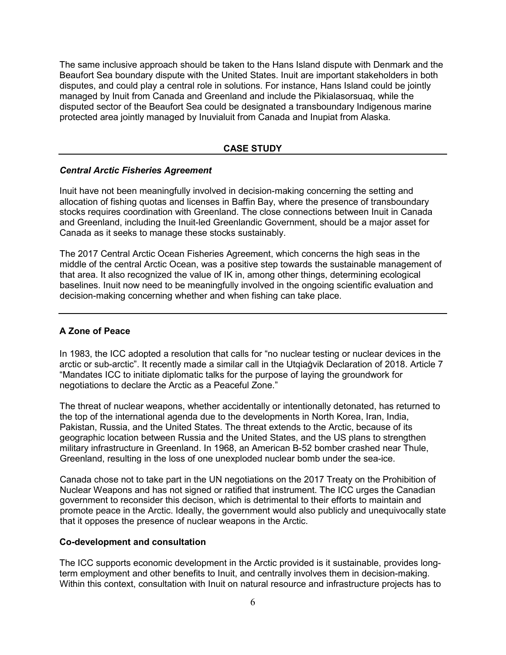The same inclusive approach should be taken to the Hans Island dispute with Denmark and the Beaufort Sea boundary dispute with the United States. Inuit are important stakeholders in both disputes, and could play a central role in solutions. For instance, Hans Island could be jointly managed by Inuit from Canada and Greenland and include the Pikialasorsuaq, while the disputed sector of the Beaufort Sea could be designated a transboundary Indigenous marine protected area jointly managed by Inuvialuit from Canada and Inupiat from Alaska.

### **CASE STUDY**

#### *Central Arctic Fisheries Agreement*

Inuit have not been meaningfully involved in decision-making concerning the setting and allocation of fishing quotas and licenses in Baffin Bay, where the presence of transboundary stocks requires coordination with Greenland. The close connections between Inuit in Canada and Greenland, including the Inuit-led Greenlandic Government, should be a major asset for Canada as it seeks to manage these stocks sustainably.

The 2017 Central Arctic Ocean Fisheries Agreement, which concerns the high seas in the middle of the central Arctic Ocean, was a positive step towards the sustainable management of that area. It also recognized the value of IK in, among other things, determining ecological baselines. Inuit now need to be meaningfully involved in the ongoing scientific evaluation and decision-making concerning whether and when fishing can take place.

### **A Zone of Peace**

In 1983, the ICC adopted a resolution that calls for "no nuclear testing or nuclear devices in the arctic or sub-arctic". It recently made a similar call in the Utqiaġvik Declaration of 2018. Article 7 "Mandates ICC to initiate diplomatic talks for the purpose of laying the groundwork for negotiations to declare the Arctic as a Peaceful Zone."

The threat of nuclear weapons, whether accidentally or intentionally detonated, has returned to the top of the international agenda due to the developments in North Korea, Iran, India, Pakistan, Russia, and the United States. The threat extends to the Arctic, because of its geographic location between Russia and the United States, and the US plans to strengthen military infrastructure in Greenland. In 1968, an American B-52 bomber crashed near Thule, Greenland, resulting in the loss of one unexploded nuclear bomb under the sea-ice.

Canada chose not to take part in the UN negotiations on the 2017 Treaty on the Prohibition of Nuclear Weapons and has not signed or ratified that instrument. The ICC urges the Canadian government to reconsider this decison, which is detrimental to their efforts to maintain and promote peace in the Arctic. Ideally, the government would also publicly and unequivocally state that it opposes the presence of nuclear weapons in the Arctic.

#### **Co-development and consultation**

The ICC supports economic development in the Arctic provided is it sustainable, provides longterm employment and other benefits to Inuit, and centrally involves them in decision-making. Within this context, consultation with Inuit on natural resource and infrastructure projects has to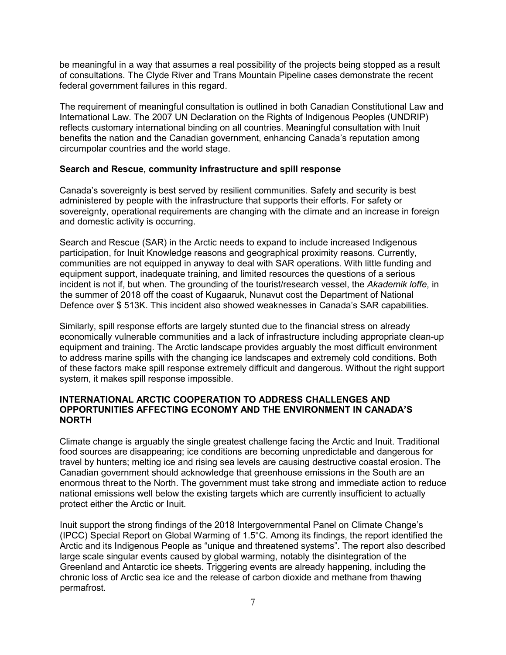be meaningful in a way that assumes a real possibility of the projects being stopped as a result of consultations. The Clyde River and Trans Mountain Pipeline cases demonstrate the recent federal government failures in this regard.

The requirement of meaningful consultation is outlined in both Canadian Constitutional Law and International Law. The 2007 UN Declaration on the Rights of Indigenous Peoples (UNDRIP) reflects customary international binding on all countries. Meaningful consultation with Inuit benefits the nation and the Canadian government, enhancing Canada's reputation among circumpolar countries and the world stage.

#### **Search and Rescue, community infrastructure and spill response**

Canada's sovereignty is best served by resilient communities. Safety and security is best administered by people with the infrastructure that supports their efforts. For safety or sovereignty, operational requirements are changing with the climate and an increase in foreign and domestic activity is occurring.

Search and Rescue (SAR) in the Arctic needs to expand to include increased Indigenous participation, for Inuit Knowledge reasons and geographical proximity reasons. Currently, communities are not equipped in anyway to deal with SAR operations. With little funding and equipment support, inadequate training, and limited resources the questions of a serious incident is not if, but when. The grounding of the tourist/research vessel, the *Akademik loffe*, in the summer of 2018 off the coast of Kugaaruk, Nunavut cost the Department of National Defence over \$ 513K. This incident also showed weaknesses in Canada's SAR capabilities.

Similarly, spill response efforts are largely stunted due to the financial stress on already economically vulnerable communities and a lack of infrastructure including appropriate clean-up equipment and training. The Arctic landscape provides arguably the most difficult environment to address marine spills with the changing ice landscapes and extremely cold conditions. Both of these factors make spill response extremely difficult and dangerous. Without the right support system, it makes spill response impossible.

### **INTERNATIONAL ARCTIC COOPERATION TO ADDRESS CHALLENGES AND OPPORTUNITIES AFFECTING ECONOMY AND THE ENVIRONMENT IN CANADA'S NORTH**

Climate change is arguably the single greatest challenge facing the Arctic and Inuit. Traditional food sources are disappearing; ice conditions are becoming unpredictable and dangerous for travel by hunters; melting ice and rising sea levels are causing destructive coastal erosion. The Canadian government should acknowledge that greenhouse emissions in the South are an enormous threat to the North. The government must take strong and immediate action to reduce national emissions well below the existing targets which are currently insufficient to actually protect either the Arctic or Inuit.

Inuit support the strong findings of the 2018 Intergovernmental Panel on Climate Change's (IPCC) Special Report on Global Warming of 1.5°C. Among its findings, the report identified the Arctic and its Indigenous People as "unique and threatened systems". The report also described large scale singular events caused by global warming, notably the disintegration of the Greenland and Antarctic ice sheets. Triggering events are already happening, including the chronic loss of Arctic sea ice and the release of carbon dioxide and methane from thawing permafrost.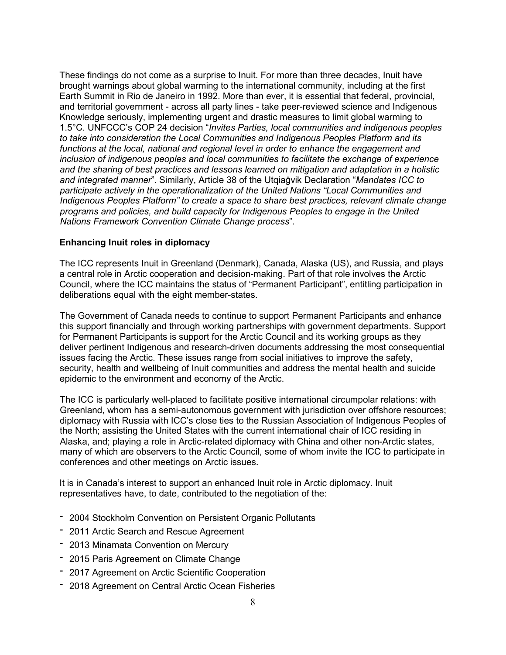These findings do not come as a surprise to Inuit. For more than three decades, Inuit have brought warnings about global warming to the international community, including at the first Earth Summit in Rio de Janeiro in 1992. More than ever, it is essential that federal, provincial, and territorial government - across all party lines - take peer-reviewed science and Indigenous Knowledge seriously, implementing urgent and drastic measures to limit global warming to 1.5°C. UNFCCC's COP 24 decision "*Invites Parties, local communities and indigenous peoples to take into consideration the Local Communities and Indigenous Peoples Platform and its functions at the local, national and regional level in order to enhance the engagement and inclusion of indigenous peoples and local communities to facilitate the exchange of experience and the sharing of best practices and lessons learned on mitigation and adaptation in a holistic and integrated manner*". Similarly, Article 38 of the Utqiaġvik Declaration "*Mandates ICC to participate actively in the operationalization of the United Nations "Local Communities and Indigenous Peoples Platform" to create a space to share best practices, relevant climate change programs and policies, and build capacity for Indigenous Peoples to engage in the United Nations Framework Convention Climate Change process*".

# **Enhancing Inuit roles in diplomacy**

The ICC represents Inuit in Greenland (Denmark), Canada, Alaska (US), and Russia, and plays a central role in Arctic cooperation and decision-making. Part of that role involves the Arctic Council, where the ICC maintains the status of "Permanent Participant", entitling participation in deliberations equal with the eight member-states.

The Government of Canada needs to continue to support Permanent Participants and enhance this support financially and through working partnerships with government departments. Support for Permanent Participants is support for the Arctic Council and its working groups as they deliver pertinent Indigenous and research-driven documents addressing the most consequential issues facing the Arctic. These issues range from social initiatives to improve the safety, security, health and wellbeing of Inuit communities and address the mental health and suicide epidemic to the environment and economy of the Arctic.

The ICC is particularly well-placed to facilitate positive international circumpolar relations: with Greenland, whom has a semi-autonomous government with jurisdiction over offshore resources; diplomacy with Russia with ICC's close ties to the Russian Association of Indigenous Peoples of the North; assisting the United States with the current international chair of ICC residing in Alaska, and; playing a role in Arctic-related diplomacy with China and other non-Arctic states, many of which are observers to the Arctic Council, some of whom invite the ICC to participate in conferences and other meetings on Arctic issues.

It is in Canada's interest to support an enhanced Inuit role in Arctic diplomacy. Inuit representatives have, to date, contributed to the negotiation of the:

- 2004 Stockholm Convention on Persistent Organic Pollutants
- 2011 Arctic Search and Rescue Agreement
- 2013 Minamata Convention on Mercury
- 2015 Paris Agreement on Climate Change
- 2017 Agreement on Arctic Scientific Cooperation
- 2018 Agreement on Central Arctic Ocean Fisheries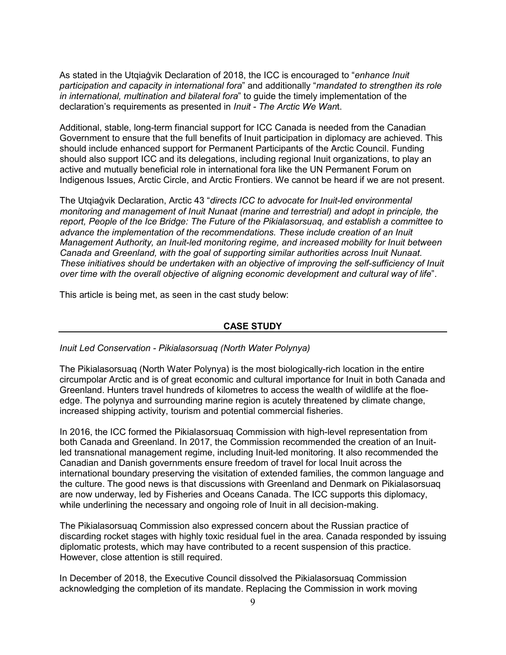As stated in the Utqiaġvik Declaration of 2018, the ICC is encouraged to "*enhance Inuit participation and capacity in international fora*" and additionally "*mandated to strengthen its role in international, multination and bilateral fora*" to guide the timely implementation of the declaration's requirements as presented in *Inuit - The Arctic We Wan*t.

Additional, stable, long-term financial support for ICC Canada is needed from the Canadian Government to ensure that the full benefits of Inuit participation in diplomacy are achieved. This should include enhanced support for Permanent Participants of the Arctic Council. Funding should also support ICC and its delegations, including regional Inuit organizations, to play an active and mutually beneficial role in international fora like the UN Permanent Forum on Indigenous Issues, Arctic Circle, and Arctic Frontiers. We cannot be heard if we are not present.

The Utqiaġvik Declaration, Arctic 43 "*directs ICC to advocate for Inuit-led environmental monitoring and management of Inuit Nunaat (marine and terrestrial) and adopt in principle, the report, People of the Ice Bridge: The Future of the Pikialasorsuaq, and establish a committee to advance the implementation of the recommendations. These include creation of an Inuit Management Authority, an Inuit-led monitoring regime, and increased mobility for Inuit between Canada and Greenland, with the goal of supporting similar authorities across Inuit Nunaat. These initiatives should be undertaken with an objective of improving the self-sufficiency of Inuit over time with the overall objective of aligning economic development and cultural way of life*".

This article is being met, as seen in the cast study below:

#### **CASE STUDY**

*Inuit Led Conservation - Pikialasorsuaq (North Water Polynya)*

The Pikialasorsuaq (North Water Polynya) is the most biologically-rich location in the entire circumpolar Arctic and is of great economic and cultural importance for Inuit in both Canada and Greenland. Hunters travel hundreds of kilometres to access the wealth of wildlife at the floeedge. The polynya and surrounding marine region is acutely threatened by climate change, increased shipping activity, tourism and potential commercial fisheries.

In 2016, the ICC formed the Pikialasorsuaq Commission with high-level representation from both Canada and Greenland. In 2017, the Commission recommended the creation of an Inuitled transnational management regime, including Inuit-led monitoring. It also recommended the Canadian and Danish governments ensure freedom of travel for local Inuit across the international boundary preserving the visitation of extended families, the common language and the culture. The good news is that discussions with Greenland and Denmark on Pikialasorsuaq are now underway, led by Fisheries and Oceans Canada. The ICC supports this diplomacy, while underlining the necessary and ongoing role of Inuit in all decision-making.

The Pikialasorsuaq Commission also expressed concern about the Russian practice of discarding rocket stages with highly toxic residual fuel in the area. Canada responded by issuing diplomatic protests, which may have contributed to a recent suspension of this practice. However, close attention is still required.

In December of 2018, the Executive Council dissolved the Pikialasorsuaq Commission acknowledging the completion of its mandate. Replacing the Commission in work moving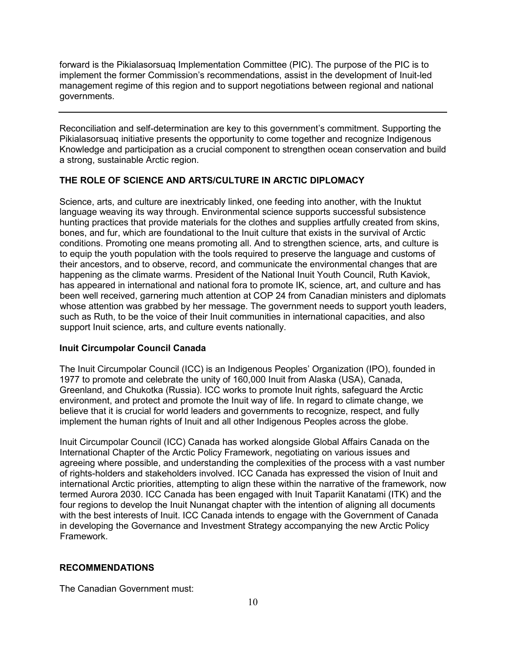forward is the Pikialasorsuaq Implementation Committee (PIC). The purpose of the PIC is to implement the former Commission's recommendations, assist in the development of Inuit-led management regime of this region and to support negotiations between regional and national governments.

Reconciliation and self-determination are key to this government's commitment. Supporting the Pikialasorsuaq initiative presents the opportunity to come together and recognize Indigenous Knowledge and participation as a crucial component to strengthen ocean conservation and build a strong, sustainable Arctic region.

# **THE ROLE OF SCIENCE AND ARTS/CULTURE IN ARCTIC DIPLOMACY**

Science, arts, and culture are inextricably linked, one feeding into another, with the Inuktut language weaving its way through. Environmental science supports successful subsistence hunting practices that provide materials for the clothes and supplies artfully created from skins, bones, and fur, which are foundational to the Inuit culture that exists in the survival of Arctic conditions. Promoting one means promoting all. And to strengthen science, arts, and culture is to equip the youth population with the tools required to preserve the language and customs of their ancestors, and to observe, record, and communicate the environmental changes that are happening as the climate warms. President of the National Inuit Youth Council, Ruth Kaviok, has appeared in international and national fora to promote IK, science, art, and culture and has been well received, garnering much attention at COP 24 from Canadian ministers and diplomats whose attention was grabbed by her message. The government needs to support youth leaders, such as Ruth, to be the voice of their Inuit communities in international capacities, and also support Inuit science, arts, and culture events nationally.

# **Inuit Circumpolar Council Canada**

The Inuit Circumpolar Council (ICC) is an Indigenous Peoples' Organization (IPO), founded in 1977 to promote and celebrate the unity of 160,000 Inuit from Alaska (USA), Canada, Greenland, and Chukotka (Russia). ICC works to promote Inuit rights, safeguard the Arctic environment, and protect and promote the Inuit way of life. In regard to climate change, we believe that it is crucial for world leaders and governments to recognize, respect, and fully implement the human rights of Inuit and all other Indigenous Peoples across the globe.

Inuit Circumpolar Council (ICC) Canada has worked alongside Global Affairs Canada on the International Chapter of the Arctic Policy Framework, negotiating on various issues and agreeing where possible, and understanding the complexities of the process with a vast number of rights-holders and stakeholders involved. ICC Canada has expressed the vision of Inuit and international Arctic priorities, attempting to align these within the narrative of the framework, now termed Aurora 2030. ICC Canada has been engaged with Inuit Tapariit Kanatami (ITK) and the four regions to develop the Inuit Nunangat chapter with the intention of aligning all documents with the best interests of Inuit. ICC Canada intends to engage with the Government of Canada in developing the Governance and Investment Strategy accompanying the new Arctic Policy Framework.

# **RECOMMENDATIONS**

The Canadian Government must: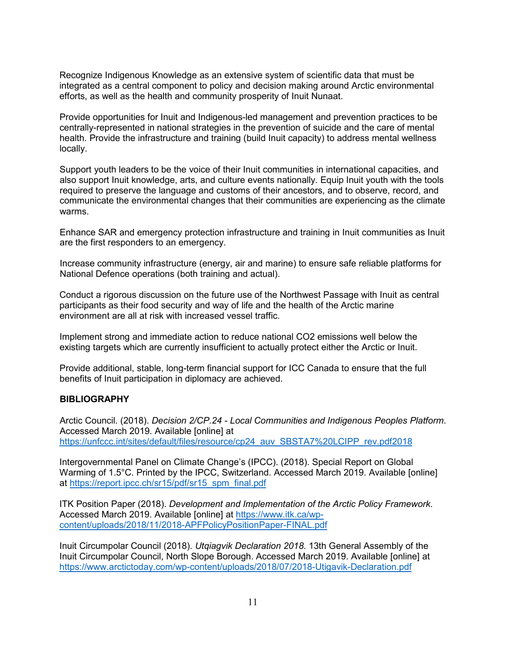Recognize Indigenous Knowledge as an extensive system of scientific data that must be integrated as a central component to policy and decision making around Arctic environmental efforts, as well as the health and community prosperity of Inuit Nunaat.

Provide opportunities for Inuit and Indigenous-led management and prevention practices to be centrally-represented in national strategies in the prevention of suicide and the care of mental health. Provide the infrastructure and training (build Inuit capacity) to address mental wellness locally.

Support youth leaders to be the voice of their Inuit communities in international capacities, and also support Inuit knowledge, arts, and culture events nationally. Equip Inuit youth with the tools required to preserve the language and customs of their ancestors, and to observe, record, and communicate the environmental changes that their communities are experiencing as the climate warms.

Enhance SAR and emergency protection infrastructure and training in Inuit communities as Inuit are the first responders to an emergency.

Increase community infrastructure (energy, air and marine) to ensure safe reliable platforms for National Defence operations (both training and actual).

Conduct a rigorous discussion on the future use of the Northwest Passage with Inuit as central participants as their food security and way of life and the health of the Arctic marine environment are all at risk with increased vessel traffic.

Implement strong and immediate action to reduce national CO2 emissions well below the existing targets which are currently insufficient to actually protect either the Arctic or Inuit.

Provide additional, stable, long-term financial support for ICC Canada to ensure that the full benefits of Inuit participation in diplomacy are achieved.

#### **BIBLIOGRAPHY**

Arctic Council. (2018). *Decision 2/CP.24 - Local Communities and Indigenous Peoples Platform*. Accessed March 2019. Available [online] at [https://unfccc.int/sites/default/files/resource/cp24\\_auv\\_SBSTA7%20LCIPP\\_rev.pdf2018](https://unfccc.int/sites/default/files/resource/cp24_auv_SBSTA7%20LCIPP_rev.pdf2018)

Intergovernmental Panel on Climate Change's (IPCC). (2018). Special Report on Global Warming of 1.5°C. Printed by the IPCC, Switzerland. Accessed March 2019. Available [online] at [https://report.ipcc.ch/sr15/pdf/sr15\\_spm\\_final.pdf](https://report.ipcc.ch/sr15/pdf/sr15_spm_final.pdf)

ITK Position Paper (2018). *Development and Implementation of the Arctic Policy Framework*. Accessed March 2019. Available [online] at [https://www.itk.ca/wp](https://www.itk.ca/wp-content/uploads/2018/11/2018-APFPolicyPositionPaper-FINAL.pdf)[content/uploads/2018/11/2018-APFPolicyPositionPaper-FINAL.pdf](https://www.itk.ca/wp-content/uploads/2018/11/2018-APFPolicyPositionPaper-FINAL.pdf)

Inuit Circumpolar Council (2018). *Utqiagvik Declaration 2018*. 13th General Assembly of the Inuit Circumpolar Council, North Slope Borough. Accessed March 2019. Available [online] at <https://www.arctictoday.com/wp-content/uploads/2018/07/2018-Utigavik-Declaration.pdf>